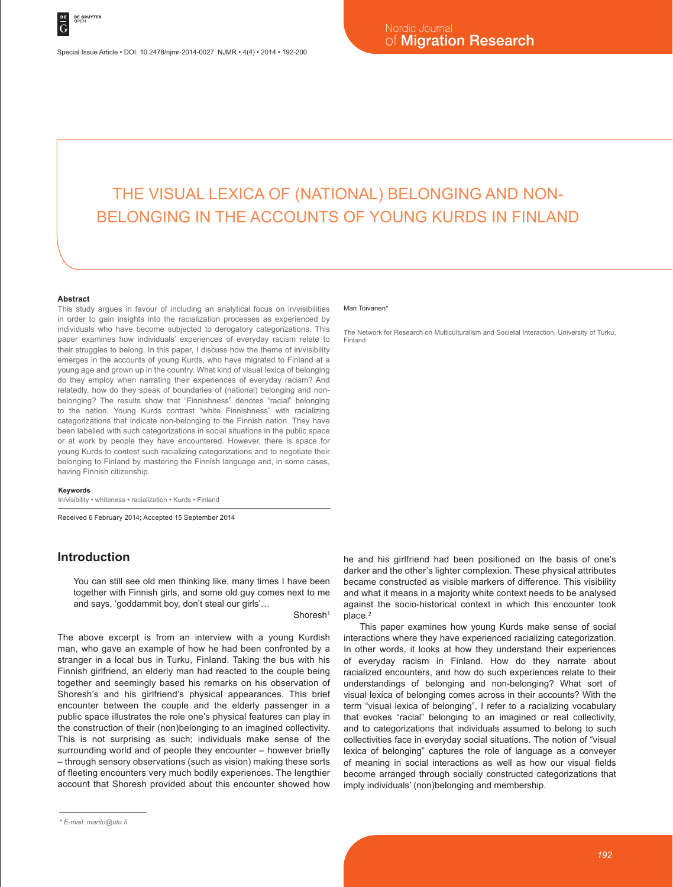# THE VISUAL LEXICA OF (NATIONAL) BELONGING AND NON-BELONGING IN THE ACCOUNTS OF YOUNG KURDS IN FINLAND

#### **Abstract**

This study argues in favour of including an analytical focus on in/visibilities in order to gain insights into the racialization processes as experienced by individuals who have become subjected to derogatory categorizations. This paper examines how individuals' experiences of everyday racism relate to their struggles to belong. In this paper, I discuss how the theme of in/visibility emerges in the accounts of young Kurds, who have migrated to Finland at a young age and grown up in the country. What kind of visual lexica of belonging do they employ when narrating their experiences of everyday racism? And relatedly, how do they speak of boundaries of (national) belonging and nonbelonging? The results show that "Finnishness" denotes "racial" belonging to the nation. Young Kurds contrast "white Finnishness" with racializing categorizations that indicate non-belonging to the Finnish nation. They have been labelled with such categorizations in social situations in the public space or at work by people they have encountered. However, there is space for young Kurds to contest such racializing categorizations and to negotiate their belonging to Finland by mastering the Finnish language and, in some cases, having Finnish citizenship.

#### **Keywords**

In/visibility • whiteness • racialization • Kurds • Finland

Received 6 February 2014; Accepted 15 September 2014

## **Introduction**

You can still see old men thinking like, many times I have been together with Finnish girls, and some old guy comes next to me and says, 'goddammit boy, don't steal our girls'…

Shoresh<sup>1</sup>

The above excerpt is from an interview with a young Kurdish man, who gave an example of how he had been confronted by a stranger in a local bus in Turku, Finland. Taking the bus with his Finnish girlfriend, an elderly man had reacted to the couple being together and seemingly based his remarks on his observation of Shoresh's and his girlfriend's physical appearances. This brief encounter between the couple and the elderly passenger in a public space illustrates the role one's physical features can play in the construction of their (non)belonging to an imagined collectivity. This is not surprising as such; individuals make sense of the surrounding world and of people they encounter – however briefly – through sensory observations (such as vision) making these sorts of fleeting encounters very much bodily experiences. The lengthier account that Shoresh provided about this encounter showed how

#### Mari Toivanen<sup>\*</sup>

The Network for Research on Multiculturalism and Societal Interaction, University of Turku, Finland

he and his girlfriend had been positioned on the basis of one's darker and the other's lighter complexion. These physical attributes became constructed as visible markers of difference. This visibility and what it means in a majority white context needs to be analysed against the socio-historical context in which this encounter took place.<sup>2</sup>

This paper examines how young Kurds make sense of social interactions where they have experienced racializing categorization. In other words, it looks at how they understand their experiences of everyday racism in Finland. How do they narrate about racialized encounters, and how do such experiences relate to their understandings of belonging and non-belonging? What sort of visual lexica of belonging comes across in their accounts? With the term "visual lexica of belonging", I refer to a racializing vocabulary that evokes "racial" belonging to an imagined or real collectivity, and to categorizations that individuals assumed to belong to such collectivities face in everyday social situations. The notion of "visual lexica of belonging" captures the role of language as a conveyer of meaning in social interactions as well as how our visual fields become arranged through socially constructed categorizations that imply individuals' (non)belonging and membership.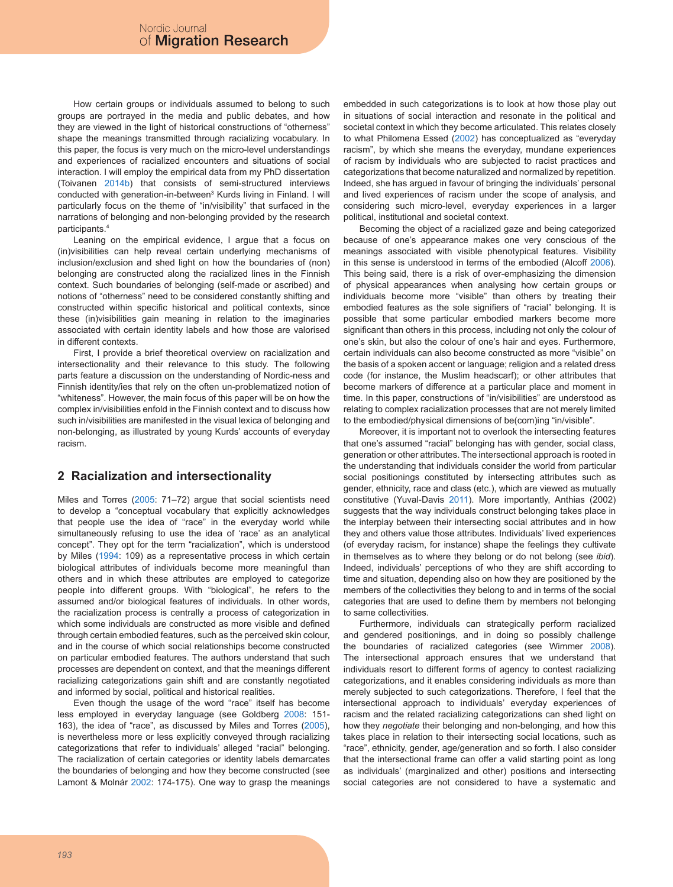How certain groups or individuals assumed to belong to such groups are portrayed in the media and public debates, and how they are viewed in the light of historical constructions of "otherness" shape the meanings transmitted through racializing vocabulary. In this paper, the focus is very much on the micro-level understandings and experiences of racialized encounters and situations of social interaction. I will employ the empirical data from my PhD dissertation (Toivanen 2014b) that consists of semi-structured interviews conducted with generation-in-between<sup>3</sup> Kurds living in Finland. I will particularly focus on the theme of "in/visibility" that surfaced in the narrations of belonging and non-belonging provided by the research participants.4

Leaning on the empirical evidence. I arque that a focus on (in)visibilities can help reveal certain underlying mechanisms of inclusion/exclusion and shed light on how the boundaries of (non) belonging are constructed along the racialized lines in the Finnish context. Such boundaries of belonging (self-made or ascribed) and notions of "otherness" need to be considered constantly shifting and constructed within specific historical and political contexts, since these (in)visibilities gain meaning in relation to the imaginaries associated with certain identity labels and how those are valorised in different contexts.

First, I provide a brief theoretical overview on racialization and intersectionality and their relevance to this study. The following parts feature a discussion on the understanding of Nordic-ness and Finnish identity/ies that rely on the often un-problematized notion of "whiteness". However, the main focus of this paper will be on how the complex in/visibilities enfold in the Finnish context and to discuss how such in/visibilities are manifested in the visual lexica of belonging and non-belonging, as illustrated by young Kurds' accounts of everyday racism.

# **2 Racialization and intersectionality**

Miles and Torres (2005: 71–72) argue that social scientists need to develop a "conceptual vocabulary that explicitly acknowledges that people use the idea of "race" in the everyday world while simultaneously refusing to use the idea of 'race' as an analytical concept". They opt for the term "racialization", which is understood by Miles (1994: 109) as a representative process in which certain biological attributes of individuals become more meaningful than others and in which these attributes are employed to categorize people into different groups. With "biological", he refers to the assumed and/or biological features of individuals. In other words, the racialization process is centrally a process of categorization in which some individuals are constructed as more visible and defined through certain embodied features, such as the perceived skin colour, and in the course of which social relationships become constructed on particular embodied features. The authors understand that such processes are dependent on context, and that the meanings different racializing categorizations gain shift and are constantly negotiated and informed by social, political and historical realities.

Even though the usage of the word "race" itself has become less employed in everyday language (see Goldberg 2008: 151- 163), the idea of "race", as discussed by Miles and Torres (2005), is nevertheless more or less explicitly conveyed through racializing categorizations that refer to individuals' alleged "racial" belonging. The racialization of certain categories or identity labels demarcates the boundaries of belonging and how they become constructed (see Lamont & Molnár 2002: 174-175). One way to grasp the meanings embedded in such categorizations is to look at how those play out in situations of social interaction and resonate in the political and societal context in which they become articulated. This relates closely to what Philomena Essed (2002) has conceptualized as "everyday racism", by which she means the everyday, mundane experiences of racism by individuals who are subjected to racist practices and categorizations that become naturalized and normalized by repetition. Indeed, she has argued in favour of bringing the individuals' personal and lived experiences of racism under the scope of analysis, and considering such micro-level, everyday experiences in a larger political, institutional and societal context.

Becoming the object of a racialized gaze and being categorized because of one's appearance makes one very conscious of the meanings associated with visible phenotypical features. Visibility in this sense is understood in terms of the embodied (Alcoff 2006). This being said, there is a risk of over-emphasizing the dimension of physical appearances when analysing how certain groups or individuals become more "visible" than others by treating their embodied features as the sole signifiers of "racial" belonging. It is possible that some particular embodied markers become more significant than others in this process, including not only the colour of one's skin, but also the colour of one's hair and eyes. Furthermore, certain individuals can also become constructed as more "visible" on the basis of a spoken accent or language; religion and a related dress code (for instance, the Muslim headscarf); or other attributes that become markers of difference at a particular place and moment in time. In this paper, constructions of "in/visibilities" are understood as relating to complex racialization processes that are not merely limited to the embodied/physical dimensions of be(com)ing "in/visible".

Moreover, it is important not to overlook the intersecting features that one's assumed "racial" belonging has with gender, social class, generation or other attributes. The intersectional approach is rooted in the understanding that individuals consider the world from particular social positionings constituted by intersecting attributes such as gender, ethnicity, race and class (etc.), which are viewed as mutually constitutive (Yuval-Davis 2011). More importantly, Anthias (2002) suggests that the way individuals construct belonging takes place in the interplay between their intersecting social attributes and in how they and others value those attributes. Individuals' lived experiences (of everyday racism, for instance) shape the feelings they cultivate in themselves as to where they belong or do not belong (see *ibid*). Indeed, individuals' perceptions of who they are shift according to time and situation, depending also on how they are positioned by the members of the collectivities they belong to and in terms of the social categories that are used to define them by members not belonging to same collectivities.

Furthermore, individuals can strategically perform racialized and gendered positionings, and in doing so possibly challenge the boundaries of racialized categories (see Wimmer 2008). The intersectional approach ensures that we understand that individuals resort to different forms of agency to contest racializing categorizations, and it enables considering individuals as more than merely subjected to such categorizations. Therefore, I feel that the intersectional approach to individuals' everyday experiences of racism and the related racializing categorizations can shed light on how they *negotiate* their belonging and non-belonging, and how this takes place in relation to their intersecting social locations, such as "race", ethnicity, gender, age/generation and so forth. I also consider that the intersectional frame can offer a valid starting point as long as individuals' (marginalized and other) positions and intersecting social categories are not considered to have a systematic and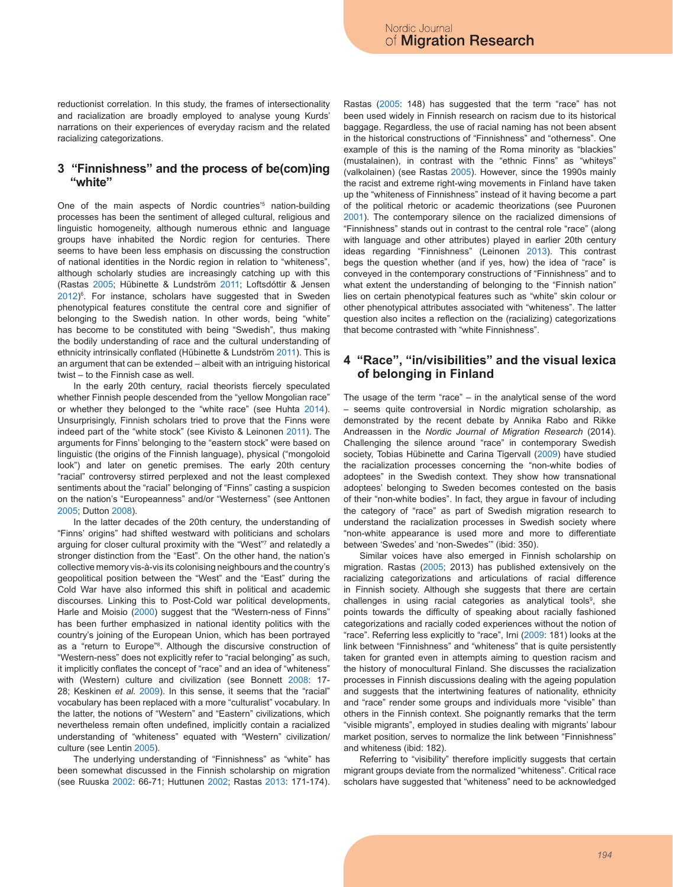reductionist correlation. In this study, the frames of intersectionality and racialization are broadly employed to analyse young Kurds' narrations on their experiences of everyday racism and the related racializing categorizations.

### **3 "Finnishness" and the process of be(com)ing "white"**

One of the main aspects of Nordic countries<sup>'5</sup> nation-building processes has been the sentiment of alleged cultural, religious and linguistic homogeneity, although numerous ethnic and language groups have inhabited the Nordic region for centuries. There seems to have been less emphasis on discussing the construction of national identities in the Nordic region in relation to "whiteness", although scholarly studies are increasingly catching up with this (Rastas 2005; Hübinette & Lundström 2011; Loftsdóttir & Jensen 2012)<sup>6</sup>. For instance, scholars have suggested that in Sweden phenotypical features constitute the central core and signifier of belonging to the Swedish nation. In other words, being "white" has become to be constituted with being "Swedish", thus making the bodily understanding of race and the cultural understanding of ethnicity intrinsically conflated (Hübinette & Lundström 2011). This is an argument that can be extended – albeit with an intriguing historical twist – to the Finnish case as well.

In the early 20th century, racial theorists fiercely speculated whether Finnish people descended from the "yellow Mongolian race" or whether they belonged to the "white race" (see Huhta 2014). Unsurprisingly, Finnish scholars tried to prove that the Finns were indeed part of the "white stock" (see Kivisto & Leinonen 2011). The arguments for Finns' belonging to the "eastern stock" were based on linguistic (the origins of the Finnish language), physical ("mongoloid look") and later on genetic premises. The early 20th century "racial" controversy stirred perplexed and not the least complexed sentiments about the "racial" belonging of "Finns" casting a suspicion on the nation's "Europeanness" and/or "Westerness" (see Anttonen 2005; Dutton 2008).

In the latter decades of the 20th century, the understanding of "Finns' origins" had shifted westward with politicians and scholars arguing for closer cultural proximity with the "West"7 and relatedly a stronger distinction from the "East". On the other hand, the nation's collective memory vis-à-vis its colonising neighbours and the country's geopolitical position between the "West" and the "East" during the Cold War have also informed this shift in political and academic discourses. Linking this to Post-Cold war political developments, Harle and Moisio (2000) suggest that the "Western-ness of Finns" has been further emphasized in national identity politics with the country's joining of the European Union, which has been portrayed as a "return to Europe"8 . Although the discursive construction of "Western-ness" does not explicitly refer to "racial belonging" as such, it implicitly conflates the concept of "race" and an idea of "whiteness" with (Western) culture and civilization (see Bonnett 2008: 17- 28; Keskinen *et al.* 2009). In this sense, it seems that the "racial" vocabulary has been replaced with a more "culturalist" vocabulary. In the latter, the notions of "Western" and "Eastern" civilizations, which nevertheless remain often undefined, implicitly contain a racialized understanding of "whiteness" equated with "Western" civilization/ culture (see Lentin 2005).

The underlying understanding of "Finnishness" as "white" has been somewhat discussed in the Finnish scholarship on migration (see Ruuska 2002: 66-71; Huttunen 2002; Rastas 2013: 171-174).

Rastas (2005: 148) has suggested that the term "race" has not been used widely in Finnish research on racism due to its historical baggage. Regardless, the use of racial naming has not been absent in the historical constructions of "Finnishness" and "otherness". One example of this is the naming of the Roma minority as "blackies" (mustalainen), in contrast with the "ethnic Finns" as "whiteys" (valkolainen) (see Rastas 2005). However, since the 1990s mainly the racist and extreme right-wing movements in Finland have taken up the "whiteness of Finnishness" instead of it having become a part of the political rhetoric or academic theorizations (see Puuronen 2001). The contemporary silence on the racialized dimensions of "Finnishness" stands out in contrast to the central role "race" (along with language and other attributes) played in earlier 20th century ideas regarding "Finnishness" (Leinonen 2013). This contrast begs the question whether (and if yes, how) the idea of "race" is conveyed in the contemporary constructions of "Finnishness" and to what extent the understanding of belonging to the "Finnish nation" lies on certain phenotypical features such as "white" skin colour or other phenotypical attributes associated with "whiteness". The latter question also incites a reflection on the (racializing) categorizations that become contrasted with "white Finnishness".

# **4 "Race", "in/visibilities" and the visual lexica of belonging in Finland**

The usage of the term "race" – in the analytical sense of the word – seems quite controversial in Nordic migration scholarship, as demonstrated by the recent debate by Annika Rabo and Rikke Andreassen in the *Nordic Journal of Migration Research* (2014). Challenging the silence around "race" in contemporary Swedish society, Tobias Hübinette and Carina Tigervall (2009) have studied the racialization processes concerning the "non-white bodies of adoptees" in the Swedish context. They show how transnational adoptees' belonging to Sweden becomes contested on the basis of their "non-white bodies". In fact, they argue in favour of including the category of "race" as part of Swedish migration research to understand the racialization processes in Swedish society where "non-white appearance is used more and more to differentiate between 'Swedes' and 'non-Swedes'" (ibid: 350).

Similar voices have also emerged in Finnish scholarship on migration. Rastas (2005; 2013) has published extensively on the racializing categorizations and articulations of racial difference in Finnish society. Although she suggests that there are certain challenges in using racial categories as analytical tools<sup>9</sup>, she points towards the difficulty of speaking about racially fashioned categorizations and racially coded experiences without the notion of "race". Referring less explicitly to "race", Irni (2009: 181) looks at the link between "Finnishness" and "whiteness" that is quite persistently taken for granted even in attempts aiming to question racism and the history of monocultural Finland. She discusses the racialization processes in Finnish discussions dealing with the ageing population and suggests that the intertwining features of nationality, ethnicity and "race" render some groups and individuals more "visible" than others in the Finnish context. She poignantly remarks that the term "visible migrants", employed in studies dealing with migrants' labour market position, serves to normalize the link between "Finnishness" and whiteness (ibid: 182).

Referring to "visibility" therefore implicitly suggests that certain migrant groups deviate from the normalized "whiteness". Critical race scholars have suggested that "whiteness" need to be acknowledged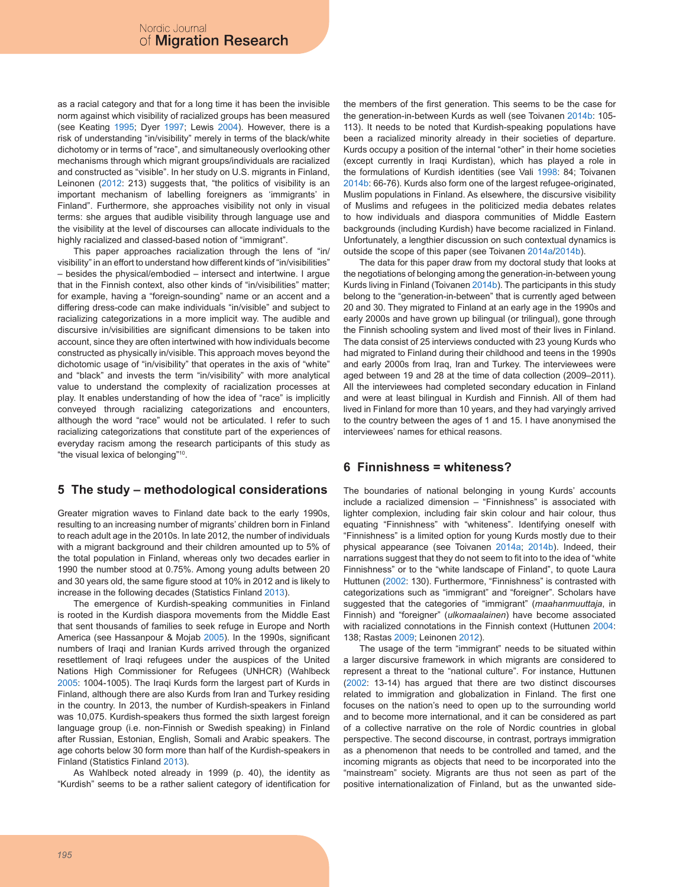as a racial category and that for a long time it has been the invisible norm against which visibility of racialized groups has been measured (see Keating 1995; Dyer 1997; Lewis 2004). However, there is a risk of understanding "in/visibility" merely in terms of the black/white dichotomy or in terms of "race", and simultaneously overlooking other mechanisms through which migrant groups/individuals are racialized and constructed as "visible". In her study on U.S. migrants in Finland, Leinonen (2012: 213) suggests that, "the politics of visibility is an important mechanism of labelling foreigners as 'immigrants' in Finland". Furthermore, she approaches visibility not only in visual terms: she argues that audible visibility through language use and the visibility at the level of discourses can allocate individuals to the highly racialized and classed-based notion of "immigrant".

This paper approaches racialization through the lens of "in/ visibility" in an effort to understand how different kinds of "in/visibilities" – besides the physical/embodied – intersect and intertwine. I argue that in the Finnish context, also other kinds of "in/visibilities" matter; for example, having a "foreign-sounding" name or an accent and a differing dress-code can make individuals "in/visible" and subject to racializing categorizations in a more implicit way. The audible and discursive in/visibilities are significant dimensions to be taken into account, since they are often intertwined with how individuals become constructed as physically in/visible. This approach moves beyond the dichotomic usage of "in/visibility" that operates in the axis of "white" and "black" and invests the term "in/visibility" with more analytical value to understand the complexity of racialization processes at play. It enables understanding of how the idea of "race" is implicitly conveyed through racializing categorizations and encounters, although the word "race" would not be articulated. I refer to such racializing categorizations that constitute part of the experiences of everyday racism among the research participants of this study as "the visual lexica of belonging"10.

# **5 The study – methodological considerations**

Greater migration waves to Finland date back to the early 1990s, resulting to an increasing number of migrants' children born in Finland to reach adult age in the 2010s. In late 2012, the number of individuals with a migrant background and their children amounted up to 5% of the total population in Finland, whereas only two decades earlier in 1990 the number stood at 0.75%. Among young adults between 20 and 30 years old, the same figure stood at 10% in 2012 and is likely to increase in the following decades (Statistics Finland 2013).

The emergence of Kurdish-speaking communities in Finland is rooted in the Kurdish diaspora movements from the Middle East that sent thousands of families to seek refuge in Europe and North America (see Hassanpour & Mojab 2005). In the 1990s, significant numbers of Iraqi and Iranian Kurds arrived through the organized resettlement of Iraqi refugees under the auspices of the United Nations High Commissioner for Refugees (UNHCR) (Wahlbeck 2005: 1004-1005). The Iraqi Kurds form the largest part of Kurds in Finland, although there are also Kurds from Iran and Turkey residing in the country. In 2013, the number of Kurdish-speakers in Finland was 10,075. Kurdish-speakers thus formed the sixth largest foreign language group (i.e. non-Finnish or Swedish speaking) in Finland after Russian, Estonian, English, Somali and Arabic speakers. The age cohorts below 30 form more than half of the Kurdish-speakers in Finland (Statistics Finland 2013).

As Wahlbeck noted already in 1999 (p. 40), the identity as "Kurdish" seems to be a rather salient category of identification for the members of the first generation. This seems to be the case for the generation-in-between Kurds as well (see Toivanen 2014b: 105- 113). It needs to be noted that Kurdish-speaking populations have been a racialized minority already in their societies of departure. Kurds occupy a position of the internal "other" in their home societies (except currently in Iraqi Kurdistan), which has played a role in the formulations of Kurdish identities (see Vali 1998: 84; Toivanen 2014b: 66-76). Kurds also form one of the largest refugee-originated, Muslim populations in Finland. As elsewhere, the discursive visibility of Muslims and refugees in the politicized media debates relates to how individuals and diaspora communities of Middle Eastern backgrounds (including Kurdish) have become racialized in Finland. Unfortunately, a lengthier discussion on such contextual dynamics is outside the scope of this paper (see Toivanen 2014a/2014b).

The data for this paper draw from my doctoral study that looks at the negotiations of belonging among the generation-in-between young Kurds living in Finland (Toivanen 2014b). The participants in this study belong to the "generation-in-between" that is currently aged between 20 and 30. They migrated to Finland at an early age in the 1990s and early 2000s and have grown up bilingual (or trilingual), gone through the Finnish schooling system and lived most of their lives in Finland. The data consist of 25 interviews conducted with 23 young Kurds who had migrated to Finland during their childhood and teens in the 1990s and early 2000s from Iraq, Iran and Turkey. The interviewees were aged between 19 and 28 at the time of data collection (2009–2011). All the interviewees had completed secondary education in Finland and were at least bilingual in Kurdish and Finnish. All of them had lived in Finland for more than 10 years, and they had varyingly arrived to the country between the ages of 1 and 15. I have anonymised the interviewees' names for ethical reasons.

### **6 Finnishness = whiteness?**

The boundaries of national belonging in young Kurds' accounts include a racialized dimension – "Finnishness" is associated with lighter complexion, including fair skin colour and hair colour, thus equating "Finnishness" with "whiteness". Identifying oneself with "Finnishness" is a limited option for young Kurds mostly due to their physical appearance (see Toivanen 2014a; 2014b). Indeed, their narrations suggest that they do not seem to fit into to the idea of "white Finnishness" or to the "white landscape of Finland", to quote Laura Huttunen (2002: 130). Furthermore, "Finnishness" is contrasted with categorizations such as "immigrant" and "foreigner". Scholars have suggested that the categories of "immigrant" (*maahanmuuttaja*, in Finnish) and "foreigner" (*ulkomaalainen*) have become associated with racialized connotations in the Finnish context (Huttunen 2004: 138; Rastas 2009; Leinonen 2012).

The usage of the term "immigrant" needs to be situated within a larger discursive framework in which migrants are considered to represent a threat to the "national culture". For instance, Huttunen (2002: 13-14) has argued that there are two distinct discourses related to immigration and globalization in Finland. The first one focuses on the nation's need to open up to the surrounding world and to become more international, and it can be considered as part of a collective narrative on the role of Nordic countries in global perspective. The second discourse, in contrast, portrays immigration as a phenomenon that needs to be controlled and tamed, and the incoming migrants as objects that need to be incorporated into the "mainstream" society. Migrants are thus not seen as part of the positive internationalization of Finland, but as the unwanted side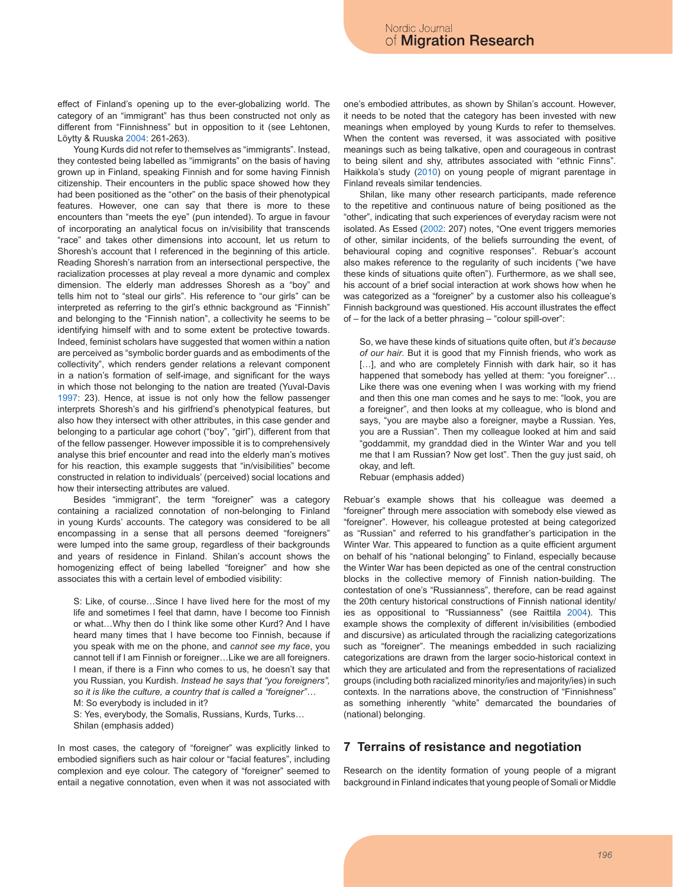effect of Finland's opening up to the ever-globalizing world. The category of an "immigrant" has thus been constructed not only as different from "Finnishness" but in opposition to it (see Lehtonen, Löytty & Ruuska 2004: 261-263).

Young Kurds did not refer to themselves as "immigrants". Instead, they contested being labelled as "immigrants" on the basis of having grown up in Finland, speaking Finnish and for some having Finnish citizenship. Their encounters in the public space showed how they had been positioned as the "other" on the basis of their phenotypical features. However, one can say that there is more to these encounters than "meets the eye" (pun intended). To argue in favour of incorporating an analytical focus on in/visibility that transcends "race" and takes other dimensions into account, let us return to Shoresh's account that I referenced in the beginning of this article. Reading Shoresh's narration from an intersectional perspective, the racialization processes at play reveal a more dynamic and complex dimension. The elderly man addresses Shoresh as a "boy" and tells him not to "steal our girls". His reference to "our girls" can be interpreted as referring to the girl's ethnic background as "Finnish" and belonging to the "Finnish nation", a collectivity he seems to be identifying himself with and to some extent be protective towards. Indeed, feminist scholars have suggested that women within a nation are perceived as "symbolic border guards and as embodiments of the collectivity", which renders gender relations a relevant component in a nation's formation of self-image, and significant for the ways in which those not belonging to the nation are treated (Yuval-Davis 1997: 23). Hence, at issue is not only how the fellow passenger interprets Shoresh's and his girlfriend's phenotypical features, but also how they intersect with other attributes, in this case gender and belonging to a particular age cohort ("boy", "girl"), different from that of the fellow passenger. However impossible it is to comprehensively analyse this brief encounter and read into the elderly man's motives for his reaction, this example suggests that "in/visibilities" become constructed in relation to individuals' (perceived) social locations and how their intersecting attributes are valued.

Besides "immigrant", the term "foreigner" was a category containing a racialized connotation of non-belonging to Finland in young Kurds' accounts. The category was considered to be all encompassing in a sense that all persons deemed "foreigners" were lumped into the same group, regardless of their backgrounds and years of residence in Finland. Shilan's account shows the homogenizing effect of being labelled "foreigner" and how she associates this with a certain level of embodied visibility:

S: Like, of course…Since I have lived here for the most of my life and sometimes I feel that damn, have I become too Finnish or what…Why then do I think like some other Kurd? And I have heard many times that I have become too Finnish, because if you speak with me on the phone, and *cannot see my face*, you cannot tell if I am Finnish or foreigner…Like we are all foreigners. I mean, if there is a Finn who comes to us, he doesn't say that you Russian, you Kurdish. *Instead he says that "you foreigners", so it is like the culture, a country that is called a "foreigner"…*

M: So everybody is included in it?

S: Yes, everybody, the Somalis, Russians, Kurds, Turks… Shilan (emphasis added)

In most cases, the category of "foreigner" was explicitly linked to embodied signifiers such as hair colour or "facial features", including complexion and eye colour. The category of "foreigner" seemed to entail a negative connotation, even when it was not associated with one's embodied attributes, as shown by Shilan's account. However, it needs to be noted that the category has been invested with new meanings when employed by young Kurds to refer to themselves. When the content was reversed, it was associated with positive meanings such as being talkative, open and courageous in contrast to being silent and shy, attributes associated with "ethnic Finns". Haikkola's study (2010) on young people of migrant parentage in Finland reveals similar tendencies.

Shilan, like many other research participants, made reference to the repetitive and continuous nature of being positioned as the "other", indicating that such experiences of everyday racism were not isolated. As Essed (2002: 207) notes, "One event triggers memories of other, similar incidents, of the beliefs surrounding the event, of behavioural coping and cognitive responses". Rebuar's account also makes reference to the regularity of such incidents ("we have these kinds of situations quite often"). Furthermore, as we shall see, his account of a brief social interaction at work shows how when he was categorized as a "foreigner" by a customer also his colleague's Finnish background was questioned. His account illustrates the effect of – for the lack of a better phrasing – "colour spill-over":

So, we have these kinds of situations quite often, but *it's because of our hair*. But it is good that my Finnish friends, who work as [...], and who are completely Finnish with dark hair, so it has happened that somebody has yelled at them: "you foreigner"… Like there was one evening when I was working with my friend and then this one man comes and he says to me: "look, you are a foreigner", and then looks at my colleague, who is blond and says, "you are maybe also a foreigner, maybe a Russian. Yes, you are a Russian". Then my colleague looked at him and said "goddammit, my granddad died in the Winter War and you tell me that I am Russian? Now get lost". Then the guy just said, oh okay, and left.

Rebuar (emphasis added)

Rebuar's example shows that his colleague was deemed a "foreigner" through mere association with somebody else viewed as "foreigner". However, his colleague protested at being categorized as "Russian" and referred to his grandfather's participation in the Winter War. This appeared to function as a quite efficient argument on behalf of his "national belonging" to Finland, especially because the Winter War has been depicted as one of the central construction blocks in the collective memory of Finnish nation-building. The contestation of one's "Russianness", therefore, can be read against the 20th century historical constructions of Finnish national identity/ ies as oppositional to "Russianness" (see Raittila 2004). This example shows the complexity of different in/visibilities (embodied and discursive) as articulated through the racializing categorizations such as "foreigner". The meanings embedded in such racializing categorizations are drawn from the larger socio-historical context in which they are articulated and from the representations of racialized groups (including both racialized minority/ies and majority/ies) in such contexts. In the narrations above, the construction of "Finnishness" as something inherently "white" demarcated the boundaries of (national) belonging.

### **7 Terrains of resistance and negotiation**

Research on the identity formation of young people of a migrant background in Finland indicates that young people of Somali or Middle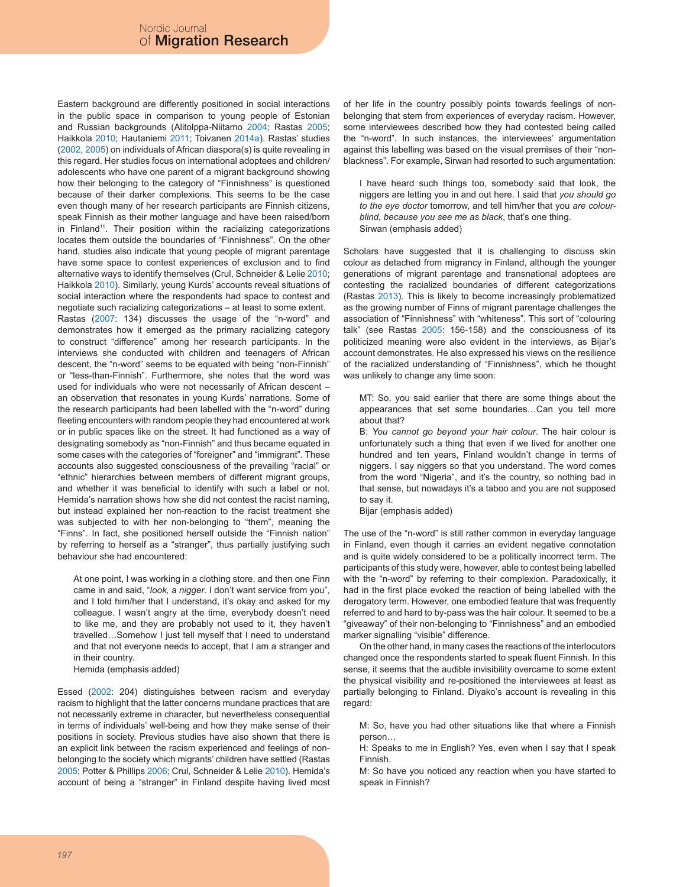Eastern background are differently positioned in social interactions in the public space in comparison to young people of Estonian and Russian backgrounds (Alitolppa-Niitamo 2004; Rastas 2005; Haikkola 2010; Hautaniemi 2011; Toivanen 2014a). Rastas' studies (2002, 2005) on individuals of African diaspora(s) is quite revealing in this regard. Her studies focus on international adoptees and children/ adolescents who have one parent of a migrant background showing how their belonging to the category of "Finnishness" is questioned because of their darker complexions. This seems to be the case even though many of her research participants are Finnish citizens, speak Finnish as their mother language and have been raised/born in Finland<sup>11</sup>. Their position within the racializing categorizations locates them outside the boundaries of "Finnishness". On the other hand, studies also indicate that young people of migrant parentage have some space to contest experiences of exclusion and to find alternative ways to identify themselves (Crul, Schneider & Lelie 2010; Haikkola 2010). Similarly, young Kurds' accounts reveal situations of social interaction where the respondents had space to contest and negotiate such racializing categorizations – at least to some extent. Rastas (2007: 134) discusses the usage of the "n-word" and demonstrates how it emerged as the primary racializing category to construct "difference" among her research participants. In the interviews she conducted with children and teenagers of African descent, the "n-word" seems to be equated with being "non-Finnish" or "less-than-Finnish". Furthermore, she notes that the word was used for individuals who were not necessarily of African descent – an observation that resonates in young Kurds' narrations. Some of the research participants had been labelled with the "n-word" during fleeting encounters with random people they had encountered at work or in public spaces like on the street. It had functioned as a way of designating somebody as "non-Finnish" and thus became equated in some cases with the categories of "foreigner" and "immigrant". These accounts also suggested consciousness of the prevailing "racial" or "ethnic" hierarchies between members of different migrant groups, and whether it was beneficial to identify with such a label or not. Hemida's narration shows how she did not contest the racist naming, but instead explained her non-reaction to the racist treatment she was subjected to with her non-belonging to "them", meaning the "Finns". In fact, she positioned herself outside the "Finnish nation" by referring to herself as a "stranger", thus partially justifying such behaviour she had encountered:

At one point, I was working in a clothing store, and then one Finn came in and said, "*look, a nigger*. I don't want service from you", and I told him/her that I understand, it's okay and asked for my colleague. I wasn't angry at the time, everybody doesn't need to like me, and they are probably not used to it, they haven't travelled…Somehow I just tell myself that I need to understand and that not everyone needs to accept, that I am a stranger and in their country.

Hemida (emphasis added)

Essed (2002: 204) distinguishes between racism and everyday racism to highlight that the latter concerns mundane practices that are not necessarily extreme in character, but nevertheless consequential in terms of individuals' well-being and how they make sense of their positions in society. Previous studies have also shown that there is an explicit link between the racism experienced and feelings of nonbelonging to the society which migrants' children have settled (Rastas 2005; Potter & Phillips 2006; Crul, Schneider & Lelie 2010). Hemida's account of being a "stranger" in Finland despite having lived most of her life in the country possibly points towards feelings of nonbelonging that stem from experiences of everyday racism. However, some interviewees described how they had contested being called the "n-word". In such instances, the interviewees' argumentation against this labelling was based on the visual premises of their "nonblackness". For example, Sirwan had resorted to such argumentation:

I have heard such things too, somebody said that look, the niggers are letting you in and out here. I said that *you should go to the eye doctor* tomorrow, and tell him/her that you *are colourblind, because you see me as black*, that's one thing. Sirwan (emphasis added)

Scholars have suggested that it is challenging to discuss skin colour as detached from migrancy in Finland, although the younger generations of migrant parentage and transnational adoptees are contesting the racialized boundaries of different categorizations (Rastas 2013). This is likely to become increasingly problematized as the growing number of Finns of migrant parentage challenges the association of "Finnishness" with "whiteness". This sort of "colouring talk" (see Rastas 2005: 156-158) and the consciousness of its politicized meaning were also evident in the interviews, as Bijar's account demonstrates. He also expressed his views on the resilience of the racialized understanding of "Finnishness", which he thought was unlikely to change any time soon:

MT: So, you said earlier that there are some things about the appearances that set some boundaries…Can you tell more about that?

B: *You cannot go beyond your hair colour*. The hair colour is unfortunately such a thing that even if we lived for another one hundred and ten years, Finland wouldn't change in terms of niggers. I say niggers so that you understand. The word comes from the word "Nigeria", and it's the country, so nothing bad in that sense, but nowadays it's a taboo and you are not supposed to say it.

Bijar (emphasis added)

The use of the "n-word" is still rather common in everyday language in Finland, even though it carries an evident negative connotation and is quite widely considered to be a politically incorrect term. The participants of this study were, however, able to contest being labelled with the "n-word" by referring to their complexion. Paradoxically, it had in the first place evoked the reaction of being labelled with the derogatory term. However, one embodied feature that was frequently referred to and hard to by-pass was the hair colour. It seemed to be a "giveaway" of their non-belonging to "Finnishness" and an embodied marker signalling "visible" difference.

On the other hand, in many cases the reactions of the interlocutors changed once the respondents started to speak fluent Finnish. In this sense, it seems that the audible invisibility overcame to some extent the physical visibility and re-positioned the interviewees at least as partially belonging to Finland. Diyako's account is revealing in this regard:

M: So, have you had other situations like that where a Finnish person…

H: Speaks to me in English? Yes, even when I say that I speak Finnish.

M: So have you noticed any reaction when you have started to speak in Finnish?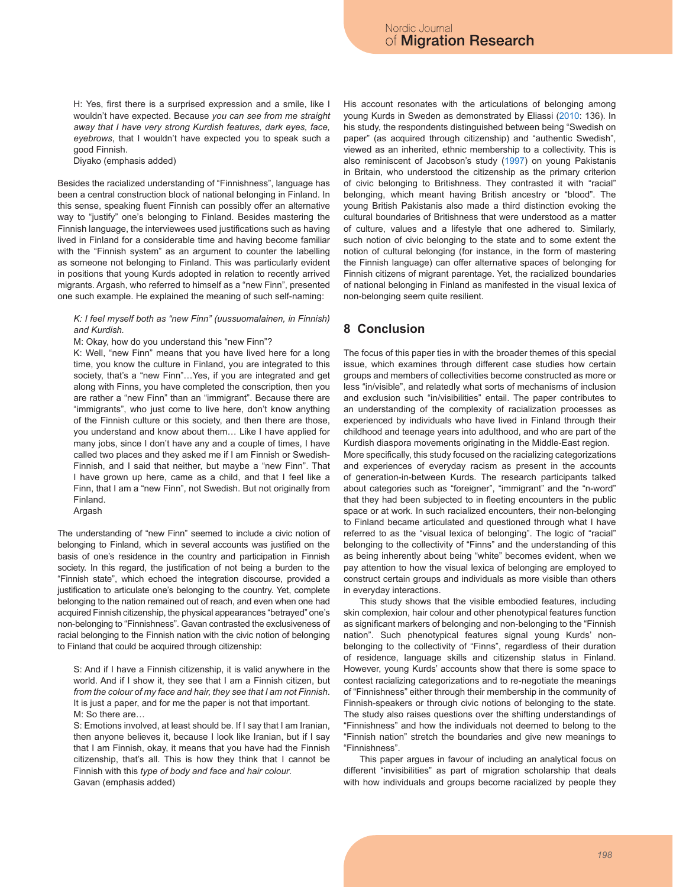H: Yes, first there is a surprised expression and a smile, like I wouldn't have expected. Because *you can see from me straight away that I have very strong Kurdish features, dark eyes, face, eyebrows*, that I wouldn't have expected you to speak such a good Finnish.

Diyako (emphasis added)

Besides the racialized understanding of "Finnishness", language has been a central construction block of national belonging in Finland. In this sense, speaking fluent Finnish can possibly offer an alternative way to "justify" one's belonging to Finland. Besides mastering the Finnish language, the interviewees used justifications such as having lived in Finland for a considerable time and having become familiar with the "Finnish system" as an argument to counter the labelling as someone not belonging to Finland. This was particularly evident in positions that young Kurds adopted in relation to recently arrived migrants. Argash, who referred to himself as a "new Finn", presented one such example. He explained the meaning of such self-naming:

#### *K: I feel myself both as "new Finn" (uussuomalainen, in Finnish) and Kurdish.*

M: Okay, how do you understand this "new Finn"?

K: Well, "new Finn" means that you have lived here for a long time, you know the culture in Finland, you are integrated to this society, that's a "new Finn"... Yes, if you are integrated and get along with Finns, you have completed the conscription, then you are rather a "new Finn" than an "immigrant". Because there are "immigrants", who just come to live here, don't know anything of the Finnish culture or this society, and then there are those, you understand and know about them… Like I have applied for many jobs, since I don't have any and a couple of times, I have called two places and they asked me if I am Finnish or Swedish-Finnish, and I said that neither, but maybe a "new Finn". That I have grown up here, came as a child, and that I feel like a Finn, that I am a "new Finn", not Swedish. But not originally from Finland.

Argash

The understanding of "new Finn" seemed to include a civic notion of belonging to Finland, which in several accounts was justified on the basis of one's residence in the country and participation in Finnish society. In this regard, the justification of not being a burden to the "Finnish state", which echoed the integration discourse, provided a justification to articulate one's belonging to the country. Yet, complete belonging to the nation remained out of reach, and even when one had acquired Finnish citizenship, the physical appearances "betrayed" one's non-belonging to "Finnishness". Gavan contrasted the exclusiveness of racial belonging to the Finnish nation with the civic notion of belonging to Finland that could be acquired through citizenship:

S: And if I have a Finnish citizenship, it is valid anywhere in the world. And if I show it, they see that I am a Finnish citizen, but *from the colour of my face and hair, they see that I am not Finnish*. It is just a paper, and for me the paper is not that important. M: So there are…

S: Emotions involved, at least should be. If I say that I am Iranian, then anyone believes it, because I look like Iranian, but if I say that I am Finnish, okay, it means that you have had the Finnish citizenship, that's all. This is how they think that I cannot be Finnish with this *type of body and face and hair colour*. Gavan (emphasis added)

His account resonates with the articulations of belonging among young Kurds in Sweden as demonstrated by Eliassi (2010: 136). In his study, the respondents distinguished between being "Swedish on paper" (as acquired through citizenship) and "authentic Swedish", viewed as an inherited, ethnic membership to a collectivity. This is also reminiscent of Jacobson's study (1997) on young Pakistanis in Britain, who understood the citizenship as the primary criterion of civic belonging to Britishness. They contrasted it with "racial" belonging, which meant having British ancestry or "blood". The young British Pakistanis also made a third distinction evoking the cultural boundaries of Britishness that were understood as a matter of culture, values and a lifestyle that one adhered to. Similarly, such notion of civic belonging to the state and to some extent the notion of cultural belonging (for instance, in the form of mastering the Finnish language) can offer alternative spaces of belonging for Finnish citizens of migrant parentage. Yet, the racialized boundaries of national belonging in Finland as manifested in the visual lexica of non-belonging seem quite resilient.

# **8 Conclusion**

The focus of this paper ties in with the broader themes of this special issue, which examines through different case studies how certain groups and members of collectivities become constructed as more or less "in/visible", and relatedly what sorts of mechanisms of inclusion and exclusion such "in/visibilities" entail. The paper contributes to an understanding of the complexity of racialization processes as experienced by individuals who have lived in Finland through their childhood and teenage years into adulthood, and who are part of the Kurdish diaspora movements originating in the Middle-East region. More specifically, this study focused on the racializing categorizations and experiences of everyday racism as present in the accounts of generation-in-between Kurds. The research participants talked about categories such as "foreigner", "immigrant" and the "n-word" that they had been subjected to in fleeting encounters in the public space or at work. In such racialized encounters, their non-belonging to Finland became articulated and questioned through what I have referred to as the "visual lexica of belonging". The logic of "racial" belonging to the collectivity of "Finns" and the understanding of this as being inherently about being "white" becomes evident, when we pay attention to how the visual lexica of belonging are employed to construct certain groups and individuals as more visible than others

in everyday interactions. This study shows that the visible embodied features, including skin complexion, hair colour and other phenotypical features function as significant markers of belonging and non-belonging to the "Finnish nation". Such phenotypical features signal young Kurds' nonbelonging to the collectivity of "Finns", regardless of their duration of residence, language skills and citizenship status in Finland. However, young Kurds' accounts show that there is some space to contest racializing categorizations and to re-negotiate the meanings of "Finnishness" either through their membership in the community of Finnish-speakers or through civic notions of belonging to the state. The study also raises questions over the shifting understandings of "Finnishness" and how the individuals not deemed to belong to the "Finnish nation" stretch the boundaries and give new meanings to "Finnishness".

This paper argues in favour of including an analytical focus on different "invisibilities" as part of migration scholarship that deals with how individuals and groups become racialized by people they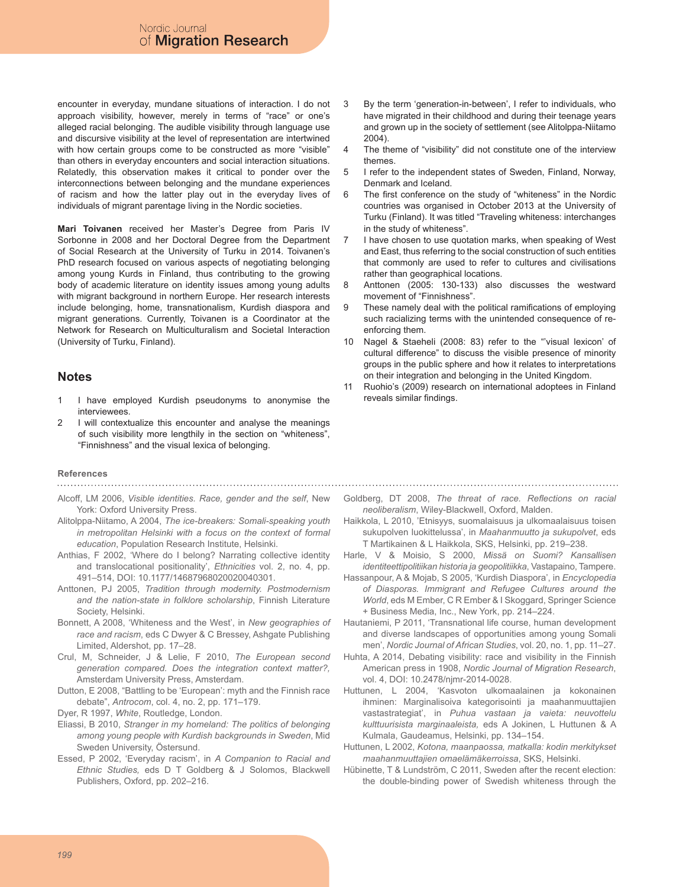encounter in everyday, mundane situations of interaction. I do not approach visibility, however, merely in terms of "race" or one's alleged racial belonging. The audible visibility through language use and discursive visibility at the level of representation are intertwined with how certain groups come to be constructed as more "visible" than others in everyday encounters and social interaction situations. Relatedly, this observation makes it critical to ponder over the interconnections between belonging and the mundane experiences of racism and how the latter play out in the everyday lives of individuals of migrant parentage living in the Nordic societies.

**Mari Toivanen** received her Master's Degree from Paris IV Sorbonne in 2008 and her Doctoral Degree from the Department of Social Research at the University of Turku in 2014. Toivanen's PhD research focused on various aspects of negotiating belonging among young Kurds in Finland, thus contributing to the growing body of academic literature on identity issues among young adults with migrant background in northern Europe. Her research interests include belonging, home, transnationalism, Kurdish diaspora and migrant generations. Currently, Toivanen is a Coordinator at the Network for Research on Multiculturalism and Societal Interaction (University of Turku, Finland).

### **Notes**

- 1 I have employed Kurdish pseudonyms to anonymise the interviewees.
- 2 I will contextualize this encounter and analyse the meanings of such visibility more lengthily in the section on "whiteness", "Finnishness" and the visual lexica of belonging.

#### **References**

- Alcoff, LM 2006, *Visible identities. Race, gender and the self*, New York: Oxford University Press.
- Alitolppa-Niitamo, A 2004, *The ice-breakers: Somali-speaking youth in metropolitan Helsinki with a focus on the context of formal education*, Population Research Institute, Helsinki.
- Anthias, F 2002, 'Where do I belong? Narrating collective identity and translocational positionality', *Ethnicities* vol. 2, no. 4, pp. 491–514, DOI: 10.1177/14687968020020040301.
- Anttonen, PJ 2005, *Tradition through modernity. Postmodernism and the nation-state in folklore scholarship*, Finnish Literature Society, Helsinki.
- Bonnett, A 2008, 'Whiteness and the West', in *New geographies of race and racism*, eds C Dwyer & C Bressey, Ashgate Publishing Limited, Aldershot, pp. 17–28.
- Crul, M, Schneider, J & Lelie, F 2010, *The European second generation compared. Does the integration context matter?,* Amsterdam University Press, Amsterdam.
- Dutton, E 2008, "Battling to be 'European': myth and the Finnish race debate", *Antrocom*, col. 4, no. 2, pp. 171–179.
- Dyer, R 1997, *White*, Routledge, London.
- Eliassi, B 2010, *Stranger in my homeland: The politics of belonging among young people with Kurdish backgrounds in Sweden*, Mid Sweden University, Östersund.
- Essed, P 2002, 'Everyday racism', in *A Companion to Racial and Ethnic Studies,* eds D T Goldberg & J Solomos, Blackwell Publishers, Oxford, pp. 202–216.
- 3 By the term 'generation-in-between', I refer to individuals, who have migrated in their childhood and during their teenage years and grown up in the society of settlement (see Alitolppa-Niitamo 2004).
- 4 The theme of "visibility" did not constitute one of the interview themes.
- 5 I refer to the independent states of Sweden, Finland, Norway, Denmark and Iceland.
- 6 The first conference on the study of "whiteness" in the Nordic countries was organised in October 2013 at the University of Turku (Finland). It was titled "Traveling whiteness: interchanges in the study of whiteness".
- 7 I have chosen to use quotation marks, when speaking of West and East, thus referring to the social construction of such entities that commonly are used to refer to cultures and civilisations rather than geographical locations.
- 8 Anttonen (2005: 130-133) also discusses the westward movement of "Finnishness".
- 9 These namely deal with the political ramifications of employing such racializing terms with the unintended consequence of reenforcing them.
- 10 Nagel & Staeheli (2008: 83) refer to the "'visual lexicon' of cultural difference" to discuss the visible presence of minority groups in the public sphere and how it relates to interpretations on their integration and belonging in the United Kingdom.
- 11 Ruohio's (2009) research on international adoptees in Finland reveals similar findings.
- Goldberg, DT 2008, *The threat of race. Reflections on racial neoliberalism*, Wiley-Blackwell, Oxford, Malden.

- Haikkola, L 2010, 'Etnisyys, suomalaisuus ja ulkomaalaisuus toisen sukupolven luokittelussa', in *Maahanmuutto ja sukupolvet*, eds T Martikainen & L Haikkola, SKS, Helsinki, pp. 219–238.
- Harle, V & Moisio, S 2000, *Missä on Suomi? Kansallisen identiteettipolitiikan historia ja geopolitiikka*, Vastapaino, Tampere.
- Hassanpour, A & Mojab, S 2005, 'Kurdish Diaspora', in *Encyclopedia of Diasporas. Immigrant and Refugee Cultures around the World*, eds M Ember, C R Ember & I Skoggard, Springer Science + Business Media, Inc., New York, pp. 214–224.
- Hautaniemi, P 2011, 'Transnational life course, human development and diverse landscapes of opportunities among young Somali men', *Nordic Journal of African Studies*, vol. 20, no. 1, pp. 11–27.
- Huhta, A 2014, Debating visibility: race and visibility in the Finnish American press in 1908, *Nordic Journal of Migration Research*, vol. 4, DOI: 10.2478/njmr-2014-0028.
- Huttunen, L 2004, 'Kasvoton ulkomaalainen ja kokonainen ihminen: Marginalisoiva kategorisointi ja maahanmuuttajien vastastrategiat', in *Puhua vastaan ja vaieta: neuvottelu kulttuurisista marginaaleista,* eds A Jokinen, L Huttunen & A Kulmala, Gaudeamus, Helsinki, pp. 134–154.
- Huttunen, L 2002, *Kotona, maanpaossa, matkalla: kodin merkitykset maahanmuuttajien omaelämäkerroissa*, SKS, Helsinki.
- Hübinette, T & Lundström, C 2011, Sweden after the recent election: the double-binding power of Swedish whiteness through the